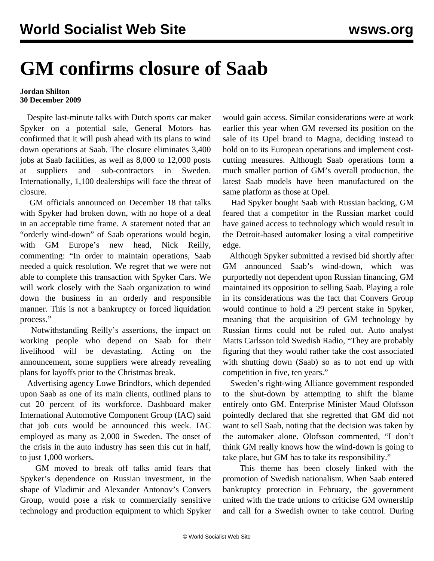## **GM confirms closure of Saab**

## **Jordan Shilton 30 December 2009**

 Despite last-minute talks with Dutch sports car maker Spyker on a potential sale, General Motors has confirmed that it will push ahead with its plans to wind down operations at Saab. The closure eliminates 3,400 jobs at Saab facilities, as well as 8,000 to 12,000 posts at suppliers and sub-contractors in Sweden. Internationally, 1,100 dealerships will face the threat of closure.

 GM officials announced on December 18 that talks with Spyker had broken down, with no hope of a deal in an acceptable time frame. A statement noted that an "orderly wind-down" of Saab operations would begin, with GM Europe's new head, Nick Reilly, commenting: "In order to maintain operations, Saab needed a quick resolution. We regret that we were not able to complete this transaction with Spyker Cars. We will work closely with the Saab organization to wind down the business in an orderly and responsible manner. This is not a bankruptcy or forced liquidation process."

 Notwithstanding Reilly's assertions, the impact on working people who depend on Saab for their livelihood will be devastating. Acting on the announcement, some suppliers were already revealing plans for layoffs prior to the Christmas break.

 Advertising agency Lowe Brindfors, which depended upon Saab as one of its main clients, outlined plans to cut 20 percent of its workforce. Dashboard maker International Automotive Component Group (IAC) said that job cuts would be announced this week. IAC employed as many as 2,000 in Sweden. The onset of the crisis in the auto industry has seen this cut in half, to just 1,000 workers.

 GM moved to break off talks amid fears that Spyker's dependence on Russian investment, in the shape of Vladimir and Alexander Antonov's Convers Group, would pose a risk to commercially sensitive technology and production equipment to which Spyker

would gain access. Similar considerations were at work earlier this year when GM reversed its position on the sale of its Opel brand to Magna, deciding instead to hold on to its European operations and implement costcutting measures. Although Saab operations form a much smaller portion of GM's overall production, the latest Saab models have been manufactured on the same platform as those at Opel.

 Had Spyker bought Saab with Russian backing, GM feared that a competitor in the Russian market could have gained access to technology which would result in the Detroit-based automaker losing a vital competitive edge.

 Although Spyker submitted a revised bid shortly after GM announced Saab's wind-down, which was purportedly not dependent upon Russian financing, GM maintained its opposition to selling Saab. Playing a role in its considerations was the fact that Convers Group would continue to hold a 29 percent stake in Spyker, meaning that the acquisition of GM technology by Russian firms could not be ruled out. Auto analyst Matts Carlsson told Swedish Radio, "They are probably figuring that they would rather take the cost associated with shutting down (Saab) so as to not end up with competition in five, ten years."

 Sweden's right-wing Alliance government responded to the shut-down by attempting to shift the blame entirely onto GM. Enterprise Minister Maud Olofsson pointedly declared that she regretted that GM did not want to sell Saab, noting that the decision was taken by the automaker alone. Olofsson commented, "I don't think GM really knows how the wind-down is going to take place, but GM has to take its responsibility."

 This theme has been closely linked with the promotion of Swedish nationalism. When Saab entered bankruptcy protection in February, the government united with the trade unions to criticise GM ownership and call for a Swedish owner to take control. During